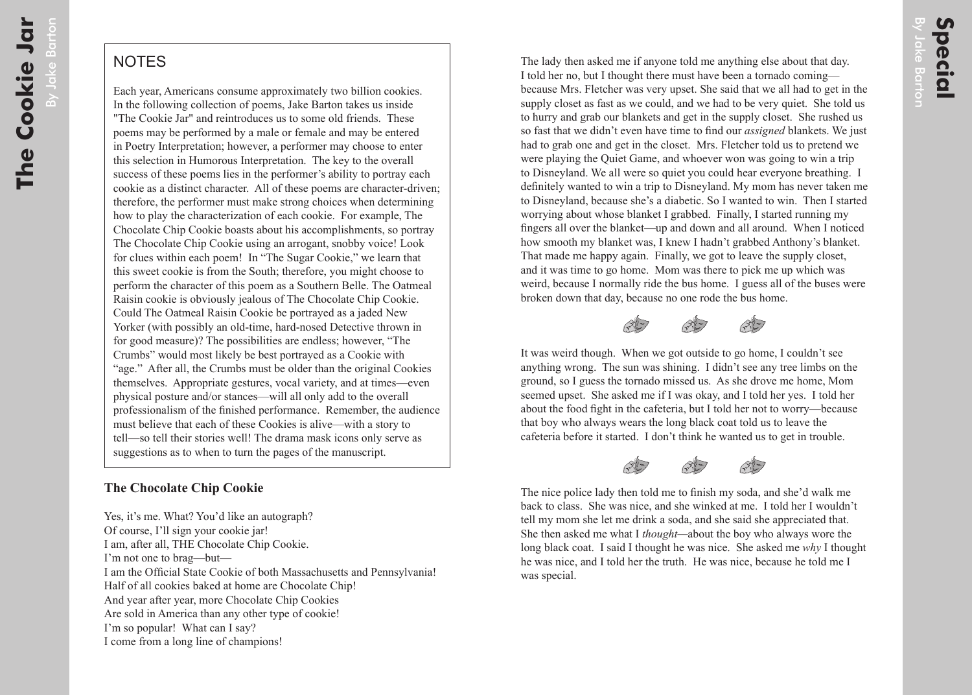## **NOTES**

Each year, Americans consume approximately two billion cookies. In the following collection of poems, Jake Barton takes us inside "The Cookie Jar" and reintroduces us to some old friends. These poems may be performed by a male or female and may be entered in Poetry Interpretation; however, a performer may choose to enter this selection in Humorous Interpretation. The key to the overall success of these poems lies in the performer's ability to portray each cookie as a distinct character. All of these poems are character-driven; therefore, the performer must make strong choices when determining how to play the characterization of each cookie. For example, The Chocolate Chip Cookie boasts about his accomplishments, so portray The Chocolate Chip Cookie using an arrogant, snobby voice! Look for clues within each poem! In "The Sugar Cookie," we learn that this sweet cookie is from the South; therefore, you might choose to perform the character of this poem as a Southern Belle. The Oatmeal Raisin cookie is obviously jealous of The Chocolate Chip Cookie. Could The Oatmeal Raisin Cookie be portrayed as a jaded New Yorker (with possibly an old-time, hard-nosed Detective thrown in for good measure)? The possibilities are endless; however, "The Crumbs" would most likely be best portrayed as a Cookie with "age." After all, the Crumbs must be older than the original Cookies themselves. Appropriate gestures, vocal variety, and at times—even physical posture and/or stances—will all only add to the overall professionalism of the finished performance. Remember, the audience must believe that each of these Cookies is alive—with a story to tell—so tell their stories well! The drama mask icons only serve as suggestions as to when to turn the pages of the manuscript.

## **The Chocolate Chip Cookie**

Yes, it's me. What? You'd like an autograph? Of course, I'll sign your cookie jar! I am, after all, THE Chocolate Chip Cookie. I'm not one to brag—but— I am the Official State Cookie of both Massachusetts and Pennsylvania! Half of all cookies baked at home are Chocolate Chip! And year after year, more Chocolate Chip Cookies Are sold in America than any other type of cookie! I'm so popular! What can I say? I come from a long line of champions!